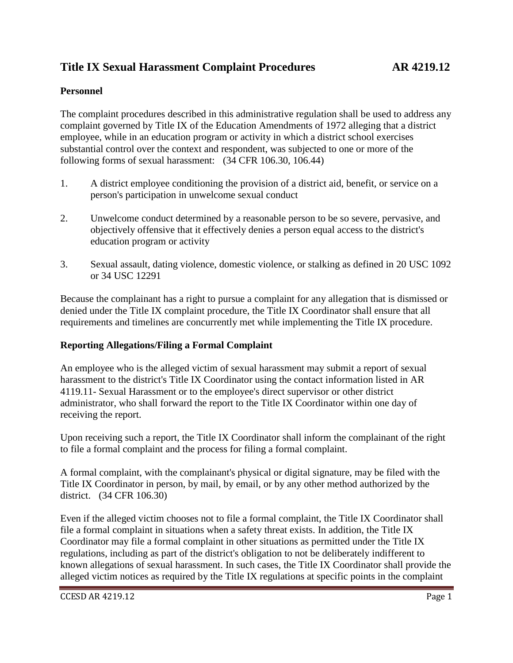# **Title IX Sexual Harassment Complaint Procedures AR 4219.12**

#### **Personnel**

The complaint procedures described in this administrative regulation shall be used to address any complaint governed by Title IX of the Education Amendments of 1972 alleging that a district employee, while in an education program or activity in which a district school exercises substantial control over the context and respondent, was subjected to one or more of the following forms of sexual harassment: (34 CFR 106.30, 106.44)

- 1. A district employee conditioning the provision of a district aid, benefit, or service on a person's participation in unwelcome sexual conduct
- 2. Unwelcome conduct determined by a reasonable person to be so severe, pervasive, and objectively offensive that it effectively denies a person equal access to the district's education program or activity
- 3. Sexual assault, dating violence, domestic violence, or stalking as defined in 20 USC 1092 or 34 USC 12291

Because the complainant has a right to pursue a complaint for any allegation that is dismissed or denied under the Title IX complaint procedure, the Title IX Coordinator shall ensure that all requirements and timelines are concurrently met while implementing the Title IX procedure.

#### **Reporting Allegations/Filing a Formal Complaint**

An employee who is the alleged victim of sexual harassment may submit a report of sexual harassment to the district's Title IX Coordinator using the contact information listed in AR 4119.11- Sexual Harassment or to the employee's direct supervisor or other district administrator, who shall forward the report to the Title IX Coordinator within one day of receiving the report.

Upon receiving such a report, the Title IX Coordinator shall inform the complainant of the right to file a formal complaint and the process for filing a formal complaint.

A formal complaint, with the complainant's physical or digital signature, may be filed with the Title IX Coordinator in person, by mail, by email, or by any other method authorized by the district. (34 CFR 106.30)

Even if the alleged victim chooses not to file a formal complaint, the Title IX Coordinator shall file a formal complaint in situations when a safety threat exists. In addition, the Title IX Coordinator may file a formal complaint in other situations as permitted under the Title IX regulations, including as part of the district's obligation to not be deliberately indifferent to known allegations of sexual harassment. In such cases, the Title IX Coordinator shall provide the alleged victim notices as required by the Title IX regulations at specific points in the complaint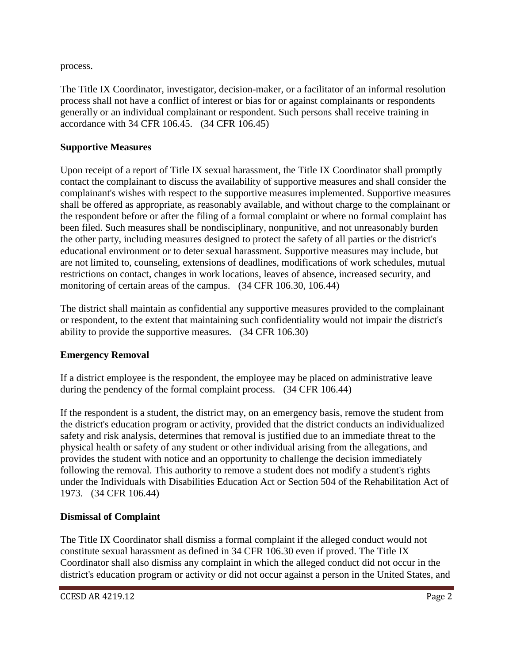process.

The Title IX Coordinator, investigator, decision-maker, or a facilitator of an informal resolution process shall not have a conflict of interest or bias for or against complainants or respondents generally or an individual complainant or respondent. Such persons shall receive training in accordance with 34 CFR 106.45. (34 CFR 106.45)

#### **Supportive Measures**

Upon receipt of a report of Title IX sexual harassment, the Title IX Coordinator shall promptly contact the complainant to discuss the availability of supportive measures and shall consider the complainant's wishes with respect to the supportive measures implemented. Supportive measures shall be offered as appropriate, as reasonably available, and without charge to the complainant or the respondent before or after the filing of a formal complaint or where no formal complaint has been filed. Such measures shall be nondisciplinary, nonpunitive, and not unreasonably burden the other party, including measures designed to protect the safety of all parties or the district's educational environment or to deter sexual harassment. Supportive measures may include, but are not limited to, counseling, extensions of deadlines, modifications of work schedules, mutual restrictions on contact, changes in work locations, leaves of absence, increased security, and monitoring of certain areas of the campus. (34 CFR 106.30, 106.44)

The district shall maintain as confidential any supportive measures provided to the complainant or respondent, to the extent that maintaining such confidentiality would not impair the district's ability to provide the supportive measures. (34 CFR 106.30)

# **Emergency Removal**

If a district employee is the respondent, the employee may be placed on administrative leave during the pendency of the formal complaint process. (34 CFR 106.44)

If the respondent is a student, the district may, on an emergency basis, remove the student from the district's education program or activity, provided that the district conducts an individualized safety and risk analysis, determines that removal is justified due to an immediate threat to the physical health or safety of any student or other individual arising from the allegations, and provides the student with notice and an opportunity to challenge the decision immediately following the removal. This authority to remove a student does not modify a student's rights under the Individuals with Disabilities Education Act or Section 504 of the Rehabilitation Act of 1973. (34 CFR 106.44)

# **Dismissal of Complaint**

The Title IX Coordinator shall dismiss a formal complaint if the alleged conduct would not constitute sexual harassment as defined in 34 CFR 106.30 even if proved. The Title IX Coordinator shall also dismiss any complaint in which the alleged conduct did not occur in the district's education program or activity or did not occur against a person in the United States, and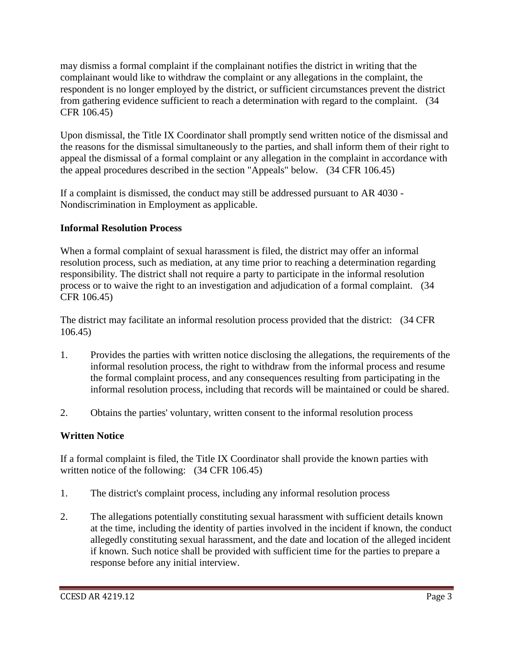may dismiss a formal complaint if the complainant notifies the district in writing that the complainant would like to withdraw the complaint or any allegations in the complaint, the respondent is no longer employed by the district, or sufficient circumstances prevent the district from gathering evidence sufficient to reach a determination with regard to the complaint. (34 CFR 106.45)

Upon dismissal, the Title IX Coordinator shall promptly send written notice of the dismissal and the reasons for the dismissal simultaneously to the parties, and shall inform them of their right to appeal the dismissal of a formal complaint or any allegation in the complaint in accordance with the appeal procedures described in the section "Appeals" below. (34 CFR 106.45)

If a complaint is dismissed, the conduct may still be addressed pursuant to AR 4030 - Nondiscrimination in Employment as applicable.

## **Informal Resolution Process**

When a formal complaint of sexual harassment is filed, the district may offer an informal resolution process, such as mediation, at any time prior to reaching a determination regarding responsibility. The district shall not require a party to participate in the informal resolution process or to waive the right to an investigation and adjudication of a formal complaint. (34 CFR 106.45)

The district may facilitate an informal resolution process provided that the district: (34 CFR 106.45)

- 1. Provides the parties with written notice disclosing the allegations, the requirements of the informal resolution process, the right to withdraw from the informal process and resume the formal complaint process, and any consequences resulting from participating in the informal resolution process, including that records will be maintained or could be shared.
- 2. Obtains the parties' voluntary, written consent to the informal resolution process

# **Written Notice**

If a formal complaint is filed, the Title IX Coordinator shall provide the known parties with written notice of the following: (34 CFR 106.45)

- 1. The district's complaint process, including any informal resolution process
- 2. The allegations potentially constituting sexual harassment with sufficient details known at the time, including the identity of parties involved in the incident if known, the conduct allegedly constituting sexual harassment, and the date and location of the alleged incident if known. Such notice shall be provided with sufficient time for the parties to prepare a response before any initial interview.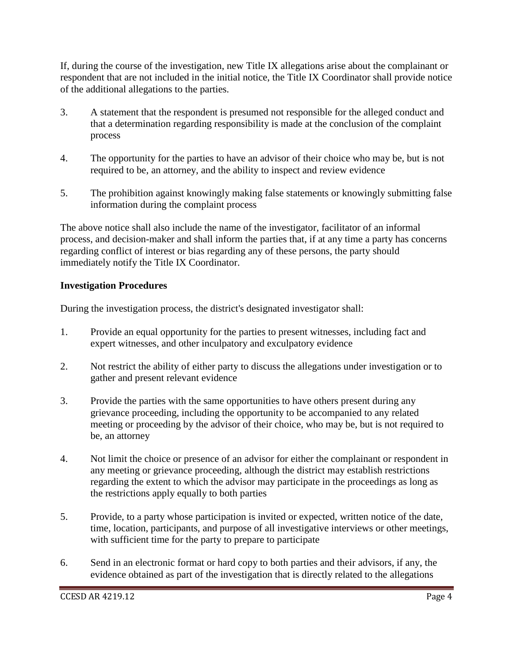If, during the course of the investigation, new Title IX allegations arise about the complainant or respondent that are not included in the initial notice, the Title IX Coordinator shall provide notice of the additional allegations to the parties.

- 3. A statement that the respondent is presumed not responsible for the alleged conduct and that a determination regarding responsibility is made at the conclusion of the complaint process
- 4. The opportunity for the parties to have an advisor of their choice who may be, but is not required to be, an attorney, and the ability to inspect and review evidence
- 5. The prohibition against knowingly making false statements or knowingly submitting false information during the complaint process

The above notice shall also include the name of the investigator, facilitator of an informal process, and decision-maker and shall inform the parties that, if at any time a party has concerns regarding conflict of interest or bias regarding any of these persons, the party should immediately notify the Title IX Coordinator.

#### **Investigation Procedures**

During the investigation process, the district's designated investigator shall:

- 1. Provide an equal opportunity for the parties to present witnesses, including fact and expert witnesses, and other inculpatory and exculpatory evidence
- 2. Not restrict the ability of either party to discuss the allegations under investigation or to gather and present relevant evidence
- 3. Provide the parties with the same opportunities to have others present during any grievance proceeding, including the opportunity to be accompanied to any related meeting or proceeding by the advisor of their choice, who may be, but is not required to be, an attorney
- 4. Not limit the choice or presence of an advisor for either the complainant or respondent in any meeting or grievance proceeding, although the district may establish restrictions regarding the extent to which the advisor may participate in the proceedings as long as the restrictions apply equally to both parties
- 5. Provide, to a party whose participation is invited or expected, written notice of the date, time, location, participants, and purpose of all investigative interviews or other meetings, with sufficient time for the party to prepare to participate
- 6. Send in an electronic format or hard copy to both parties and their advisors, if any, the evidence obtained as part of the investigation that is directly related to the allegations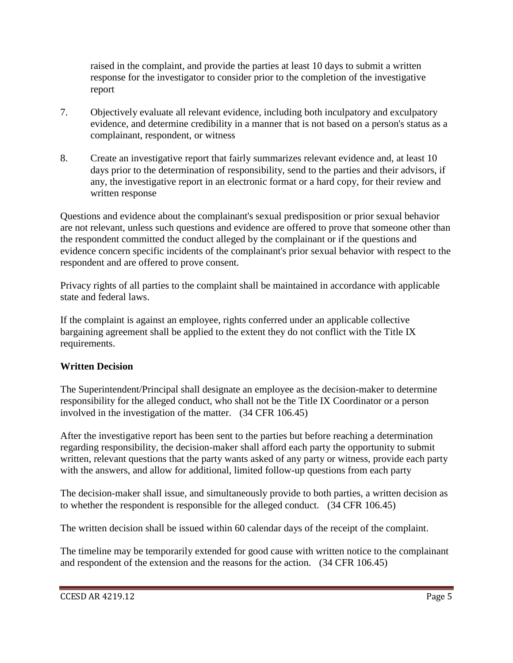raised in the complaint, and provide the parties at least 10 days to submit a written response for the investigator to consider prior to the completion of the investigative report

- 7. Objectively evaluate all relevant evidence, including both inculpatory and exculpatory evidence, and determine credibility in a manner that is not based on a person's status as a complainant, respondent, or witness
- 8. Create an investigative report that fairly summarizes relevant evidence and, at least 10 days prior to the determination of responsibility, send to the parties and their advisors, if any, the investigative report in an electronic format or a hard copy, for their review and written response

Questions and evidence about the complainant's sexual predisposition or prior sexual behavior are not relevant, unless such questions and evidence are offered to prove that someone other than the respondent committed the conduct alleged by the complainant or if the questions and evidence concern specific incidents of the complainant's prior sexual behavior with respect to the respondent and are offered to prove consent.

Privacy rights of all parties to the complaint shall be maintained in accordance with applicable state and federal laws.

If the complaint is against an employee, rights conferred under an applicable collective bargaining agreement shall be applied to the extent they do not conflict with the Title IX requirements.

#### **Written Decision**

The Superintendent/Principal shall designate an employee as the decision-maker to determine responsibility for the alleged conduct, who shall not be the Title IX Coordinator or a person involved in the investigation of the matter. (34 CFR 106.45)

After the investigative report has been sent to the parties but before reaching a determination regarding responsibility, the decision-maker shall afford each party the opportunity to submit written, relevant questions that the party wants asked of any party or witness, provide each party with the answers, and allow for additional, limited follow-up questions from each party

The decision-maker shall issue, and simultaneously provide to both parties, a written decision as to whether the respondent is responsible for the alleged conduct. (34 CFR 106.45)

The written decision shall be issued within 60 calendar days of the receipt of the complaint.

The timeline may be temporarily extended for good cause with written notice to the complainant and respondent of the extension and the reasons for the action. (34 CFR 106.45)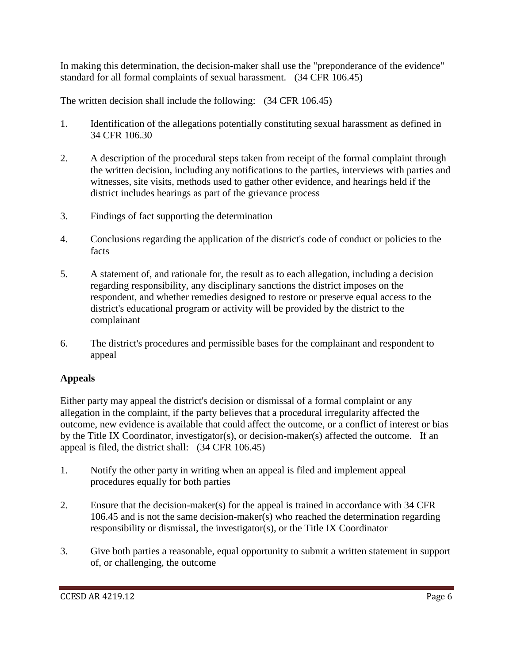In making this determination, the decision-maker shall use the "preponderance of the evidence" standard for all formal complaints of sexual harassment. (34 CFR 106.45)

The written decision shall include the following: (34 CFR 106.45)

- 1. Identification of the allegations potentially constituting sexual harassment as defined in 34 CFR 106.30
- 2. A description of the procedural steps taken from receipt of the formal complaint through the written decision, including any notifications to the parties, interviews with parties and witnesses, site visits, methods used to gather other evidence, and hearings held if the district includes hearings as part of the grievance process
- 3. Findings of fact supporting the determination
- 4. Conclusions regarding the application of the district's code of conduct or policies to the facts
- 5. A statement of, and rationale for, the result as to each allegation, including a decision regarding responsibility, any disciplinary sanctions the district imposes on the respondent, and whether remedies designed to restore or preserve equal access to the district's educational program or activity will be provided by the district to the complainant
- 6. The district's procedures and permissible bases for the complainant and respondent to appeal

# **Appeals**

Either party may appeal the district's decision or dismissal of a formal complaint or any allegation in the complaint, if the party believes that a procedural irregularity affected the outcome, new evidence is available that could affect the outcome, or a conflict of interest or bias by the Title IX Coordinator, investigator(s), or decision-maker(s) affected the outcome. If an appeal is filed, the district shall: (34 CFR 106.45)

- 1. Notify the other party in writing when an appeal is filed and implement appeal procedures equally for both parties
- 2. Ensure that the decision-maker(s) for the appeal is trained in accordance with 34 CFR 106.45 and is not the same decision-maker(s) who reached the determination regarding responsibility or dismissal, the investigator(s), or the Title IX Coordinator
- 3. Give both parties a reasonable, equal opportunity to submit a written statement in support of, or challenging, the outcome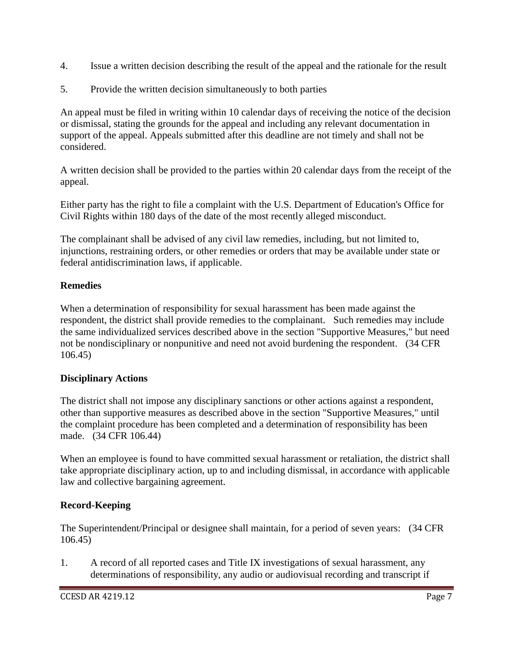- 4. Issue a written decision describing the result of the appeal and the rationale for the result
- 5. Provide the written decision simultaneously to both parties

An appeal must be filed in writing within 10 calendar days of receiving the notice of the decision or dismissal, stating the grounds for the appeal and including any relevant documentation in support of the appeal. Appeals submitted after this deadline are not timely and shall not be considered.

A written decision shall be provided to the parties within 20 calendar days from the receipt of the appeal.

Either party has the right to file a complaint with the U.S. Department of Education's Office for Civil Rights within 180 days of the date of the most recently alleged misconduct.

The complainant shall be advised of any civil law remedies, including, but not limited to, injunctions, restraining orders, or other remedies or orders that may be available under state or federal antidiscrimination laws, if applicable.

## **Remedies**

When a determination of responsibility for sexual harassment has been made against the respondent, the district shall provide remedies to the complainant. Such remedies may include the same individualized services described above in the section "Supportive Measures," but need not be nondisciplinary or nonpunitive and need not avoid burdening the respondent. (34 CFR 106.45)

#### **Disciplinary Actions**

The district shall not impose any disciplinary sanctions or other actions against a respondent, other than supportive measures as described above in the section "Supportive Measures," until the complaint procedure has been completed and a determination of responsibility has been made. (34 CFR 106.44)

When an employee is found to have committed sexual harassment or retaliation, the district shall take appropriate disciplinary action, up to and including dismissal, in accordance with applicable law and collective bargaining agreement.

# **Record-Keeping**

The Superintendent/Principal or designee shall maintain, for a period of seven years: (34 CFR 106.45)

1. A record of all reported cases and Title IX investigations of sexual harassment, any determinations of responsibility, any audio or audiovisual recording and transcript if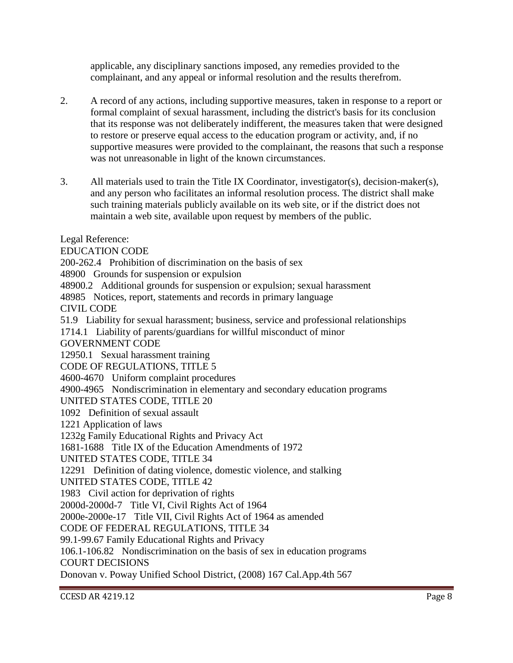applicable, any disciplinary sanctions imposed, any remedies provided to the complainant, and any appeal or informal resolution and the results therefrom.

- 2. A record of any actions, including supportive measures, taken in response to a report or formal complaint of sexual harassment, including the district's basis for its conclusion that its response was not deliberately indifferent, the measures taken that were designed to restore or preserve equal access to the education program or activity, and, if no supportive measures were provided to the complainant, the reasons that such a response was not unreasonable in light of the known circumstances.
- 3. All materials used to train the Title IX Coordinator, investigator(s), decision-maker(s), and any person who facilitates an informal resolution process. The district shall make such training materials publicly available on its web site, or if the district does not maintain a web site, available upon request by members of the public.

Legal Reference:

EDUCATION CODE

200-262.4 Prohibition of discrimination on the basis of sex

48900 Grounds for suspension or expulsion

48900.2 Additional grounds for suspension or expulsion; sexual harassment

48985 Notices, report, statements and records in primary language

CIVIL CODE

51.9 Liability for sexual harassment; business, service and professional relationships

1714.1 Liability of parents/guardians for willful misconduct of minor

GOVERNMENT CODE

12950.1 Sexual harassment training

CODE OF REGULATIONS, TITLE 5

4600-4670 Uniform complaint procedures

4900-4965 Nondiscrimination in elementary and secondary education programs

UNITED STATES CODE, TITLE 20

1092 Definition of sexual assault

1221 Application of laws

1232g Family Educational Rights and Privacy Act

1681-1688 Title IX of the Education Amendments of 1972

UNITED STATES CODE, TITLE 34

12291 Definition of dating violence, domestic violence, and stalking

UNITED STATES CODE, TITLE 42

1983 Civil action for deprivation of rights

2000d-2000d-7 Title VI, Civil Rights Act of 1964

2000e-2000e-17 Title VII, Civil Rights Act of 1964 as amended

CODE OF FEDERAL REGULATIONS, TITLE 34

99.1-99.67 Family Educational Rights and Privacy

106.1-106.82 Nondiscrimination on the basis of sex in education programs

COURT DECISIONS

Donovan v. Poway Unified School District, (2008) 167 Cal.App.4th 567